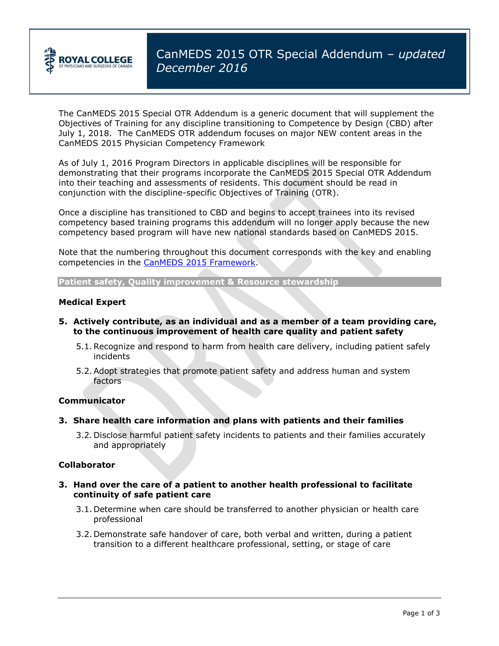

The CanMEDS 2015 Special OTR Addendum is a generic document that will supplement the Objectives of Training for any discipline transitioning to Competence by Design (CBD) after July 1, 2018. The CanMEDS OTR addendum focuses on major NEW content areas in the CanMEDS 2015 Physician Competency Framework

As of July 1, 2016 Program Directors in applicable disciplines will be responsible for demonstrating that their programs incorporate the CanMEDS 2015 Special OTR Addendum into their teaching and assessments of residents. This document should be read in conjunction with the discipline-specific Objectives of Training (OTR).

Once a discipline has transitioned to CBD and begins to accept trainees into its revised competency based training programs this addendum will no longer apply because the new competency based program will have new national standards based on CanMEDS 2015.

Note that the numbering throughout this document corresponds with the key and enabling competencies in the [CanMEDS 2015 Framework.](http://www.royalcollege.ca/rcsite/canmeds/canmeds-framework-e)

**Patient safety, Quality improvement & Resource stewardship**

### **Medical Expert**

- **5. Actively contribute, as an individual and as a member of a team providing care, to the continuous improvement of health care quality and patient safety**
	- 5.1.Recognize and respond to harm from health care delivery, including patient safely incidents
	- 5.2.Adopt strategies that promote patient safety and address human and system factors

#### **Communicator**

- **3. Share health care information and plans with patients and their families**
	- 3.2. Disclose harmful patient safety incidents to patients and their families accurately and appropriately

#### **Collaborator**

- **3. Hand over the care of a patient to another health professional to facilitate continuity of safe patient care**
	- 3.1. Determine when care should be transferred to another physician or health care professional
	- 3.2. Demonstrate safe handover of care, both verbal and written, during a patient transition to a different healthcare professional, setting, or stage of care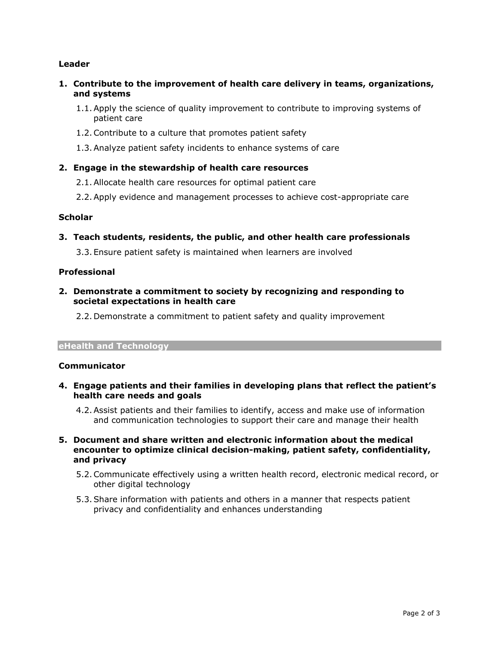## **Leader**

- **1. Contribute to the improvement of health care delivery in teams, organizations, and systems**
	- 1.1.Apply the science of quality improvement to contribute to improving systems of patient care
	- 1.2.Contribute to a culture that promotes patient safety
	- 1.3.Analyze patient safety incidents to enhance systems of care

# **2. Engage in the stewardship of health care resources**

- 2.1.Allocate health care resources for optimal patient care
- 2.2.Apply evidence and management processes to achieve cost-appropriate care

## **Scholar**

**3. Teach students, residents, the public, and other health care professionals**

3.3.Ensure patient safety is maintained when learners are involved

## **Professional**

**2. Demonstrate a commitment to society by recognizing and responding to societal expectations in health care**

2.2. Demonstrate a commitment to patient safety and quality improvement

#### **eHealth and Technology**

## **Communicator**

- **4. Engage patients and their families in developing plans that reflect the patient's health care needs and goals**
	- 4.2.Assist patients and their families to identify, access and make use of information and communication technologies to support their care and manage their health
- **5. Document and share written and electronic information about the medical encounter to optimize clinical decision-making, patient safety, confidentiality, and privacy**
	- 5.2.Communicate effectively using a written health record, electronic medical record, or other digital technology
	- 5.3.Share information with patients and others in a manner that respects patient privacy and confidentiality and enhances understanding